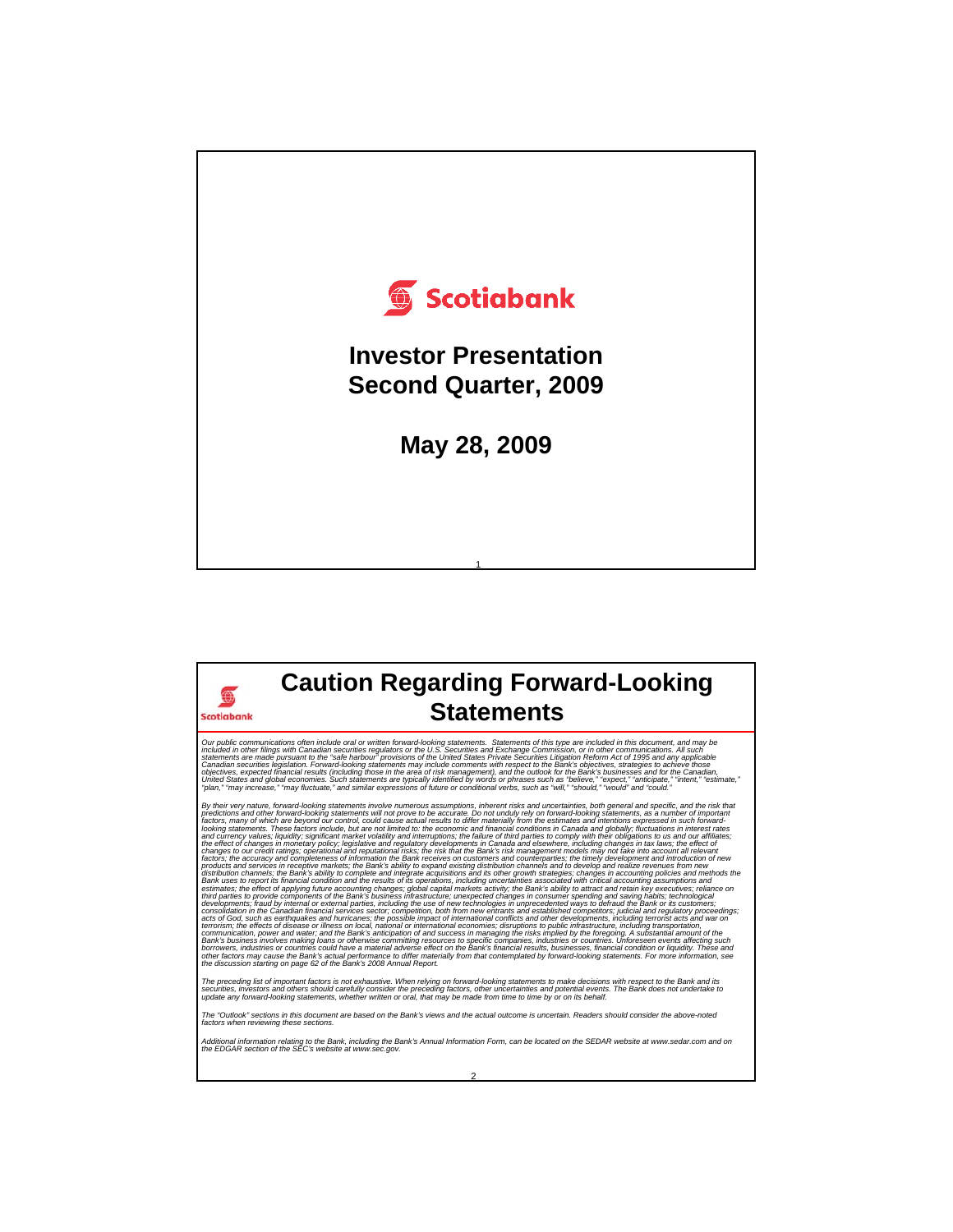

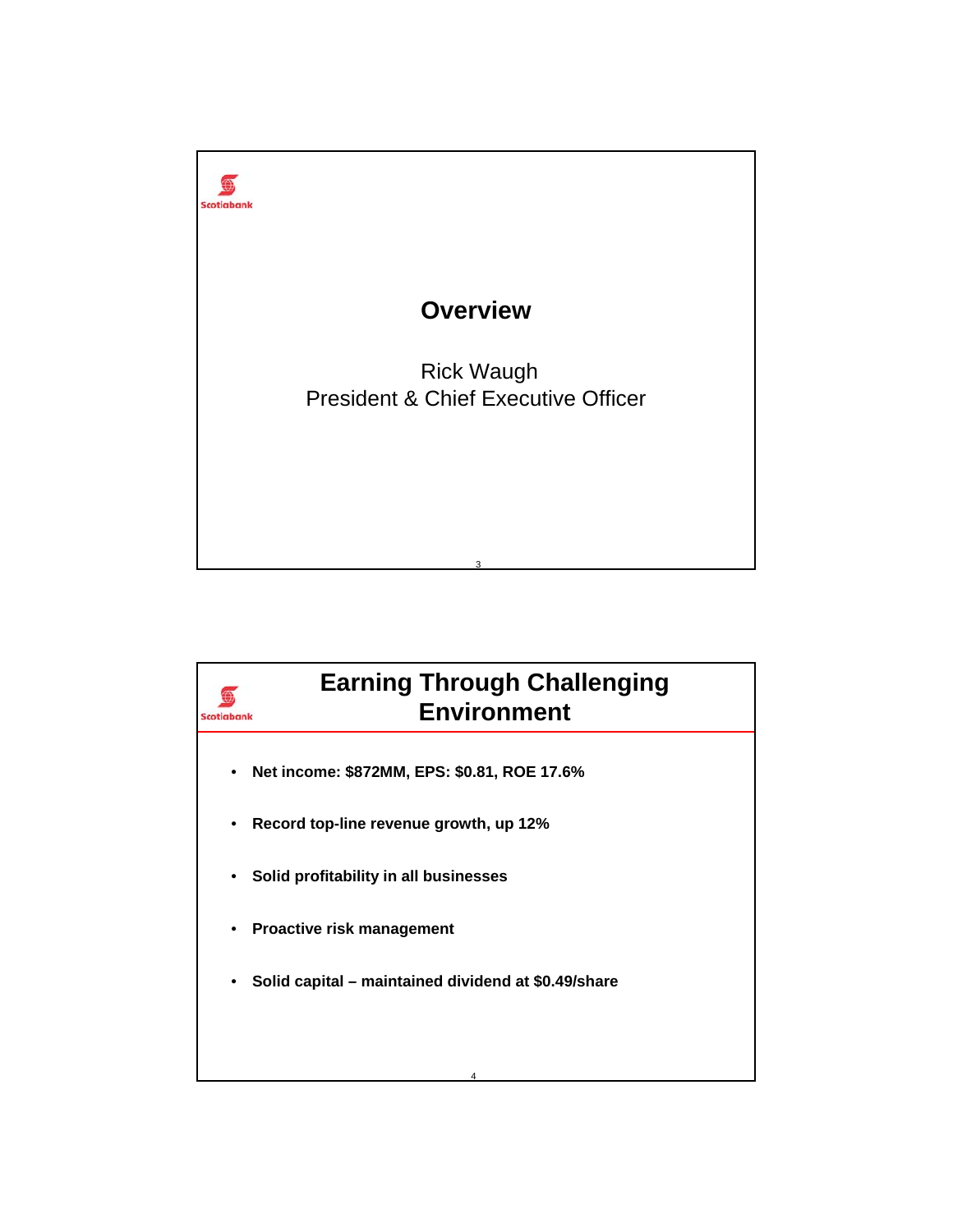

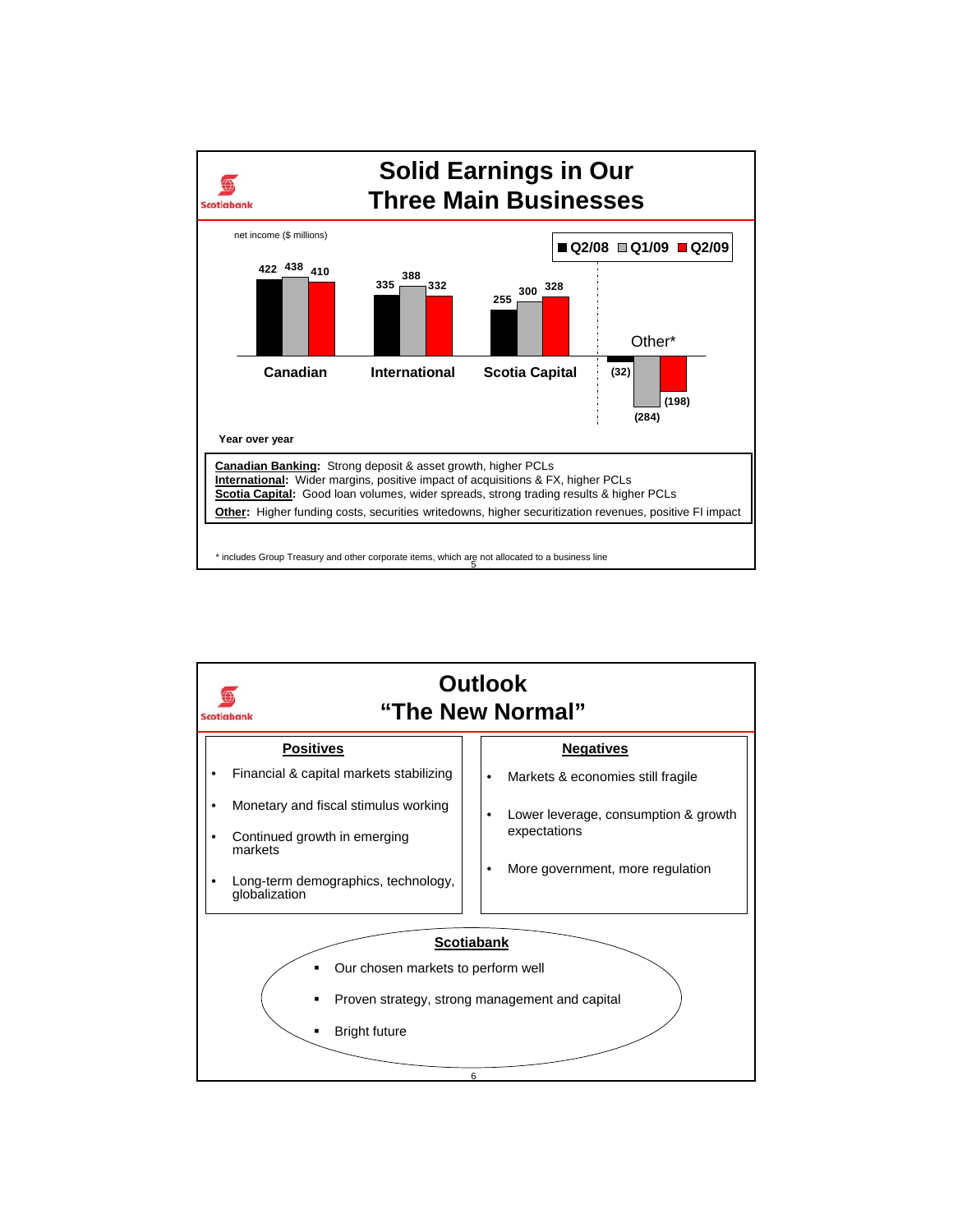

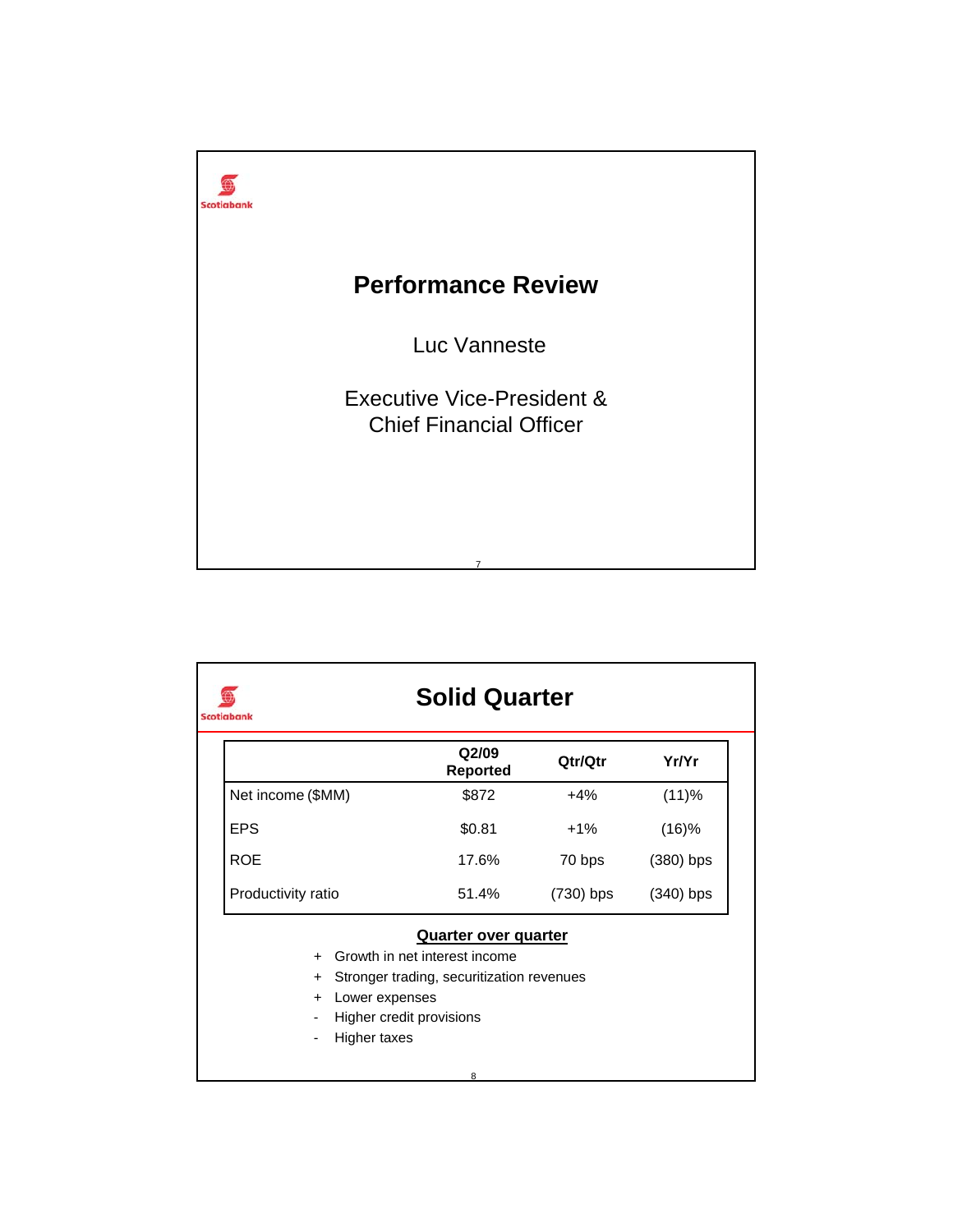

| \$872<br>\$0.81                         | $+4%$<br>$+1\%$               | (11)%                                     |  |  |  |  |
|-----------------------------------------|-------------------------------|-------------------------------------------|--|--|--|--|
|                                         |                               |                                           |  |  |  |  |
|                                         |                               | (16)%                                     |  |  |  |  |
| 17.6%<br>70 bps<br>51.4%<br>$(730)$ bps |                               | $(380)$ bps                               |  |  |  |  |
|                                         |                               | $(340)$ bps                               |  |  |  |  |
| <b>Quarter over quarter</b>             |                               |                                           |  |  |  |  |
|                                         |                               |                                           |  |  |  |  |
|                                         |                               |                                           |  |  |  |  |
|                                         | Growth in net interest income | Stronger trading, securitization revenues |  |  |  |  |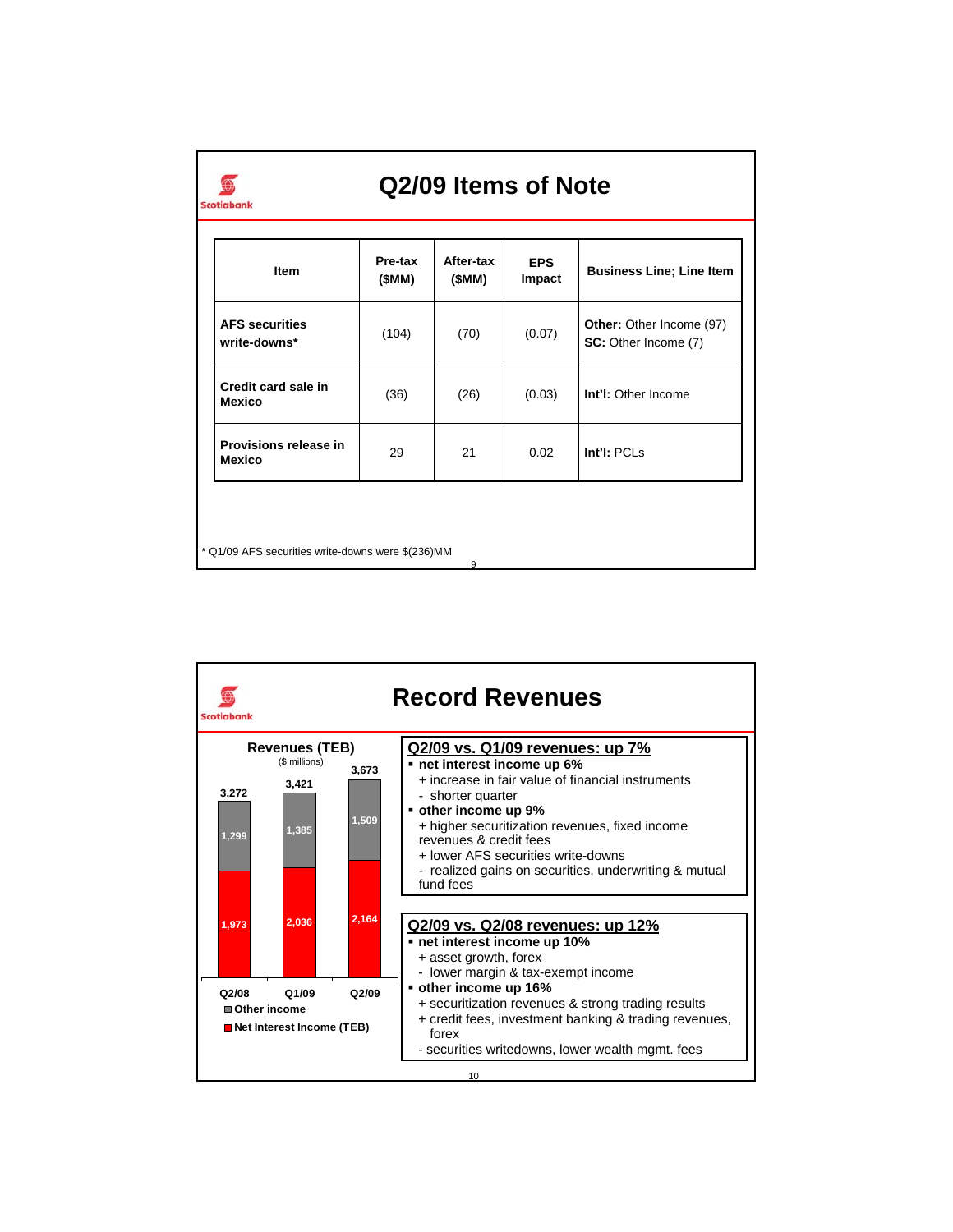| <b>Item</b>                            | Pre-tax<br>(\$MM) | After-tax<br>(\$MM) | <b>EPS</b><br>Impact | <b>Business Line; Line Item</b>                                |
|----------------------------------------|-------------------|---------------------|----------------------|----------------------------------------------------------------|
| <b>AFS securities</b><br>write-downs*  | (104)             | (70)                | (0.07)               | <b>Other:</b> Other Income (97)<br><b>SC:</b> Other Income (7) |
| Credit card sale in<br><b>Mexico</b>   | (36)              | (26)                | (0.03)               | Int'I: Other Income                                            |
| Provisions release in<br><b>Mexico</b> | 29                | 21                  | 0.02                 | Int'l: PCLs                                                    |

9

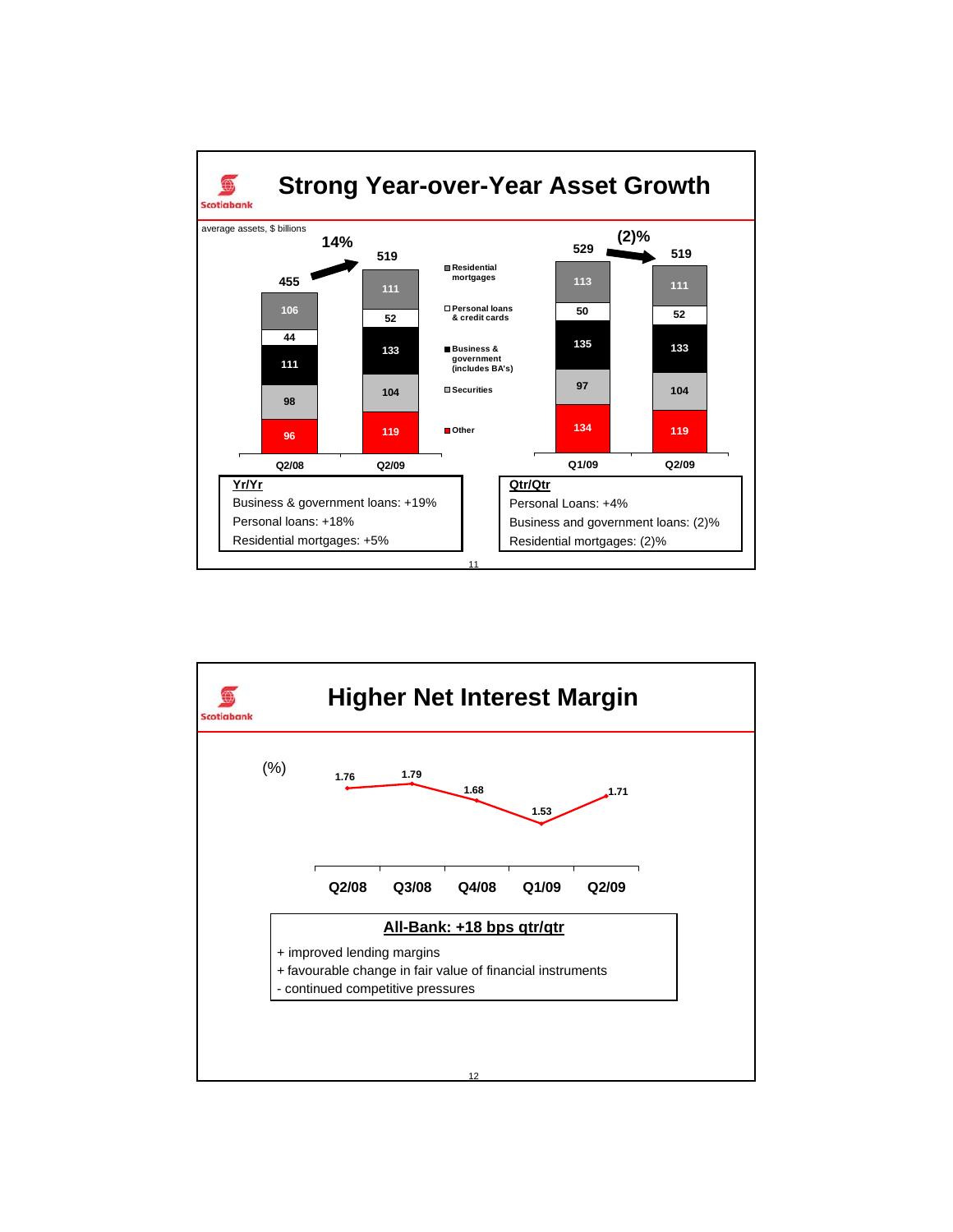

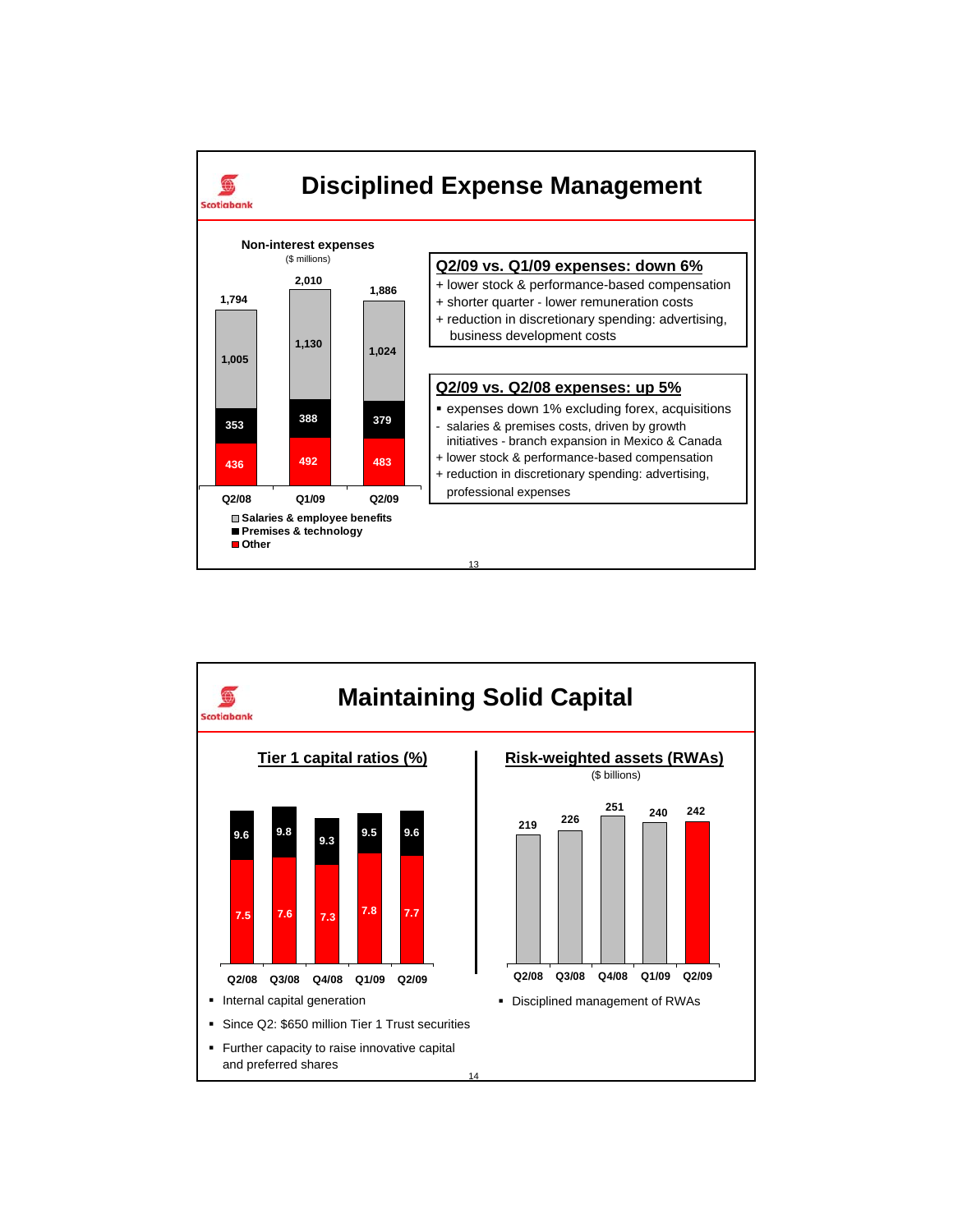

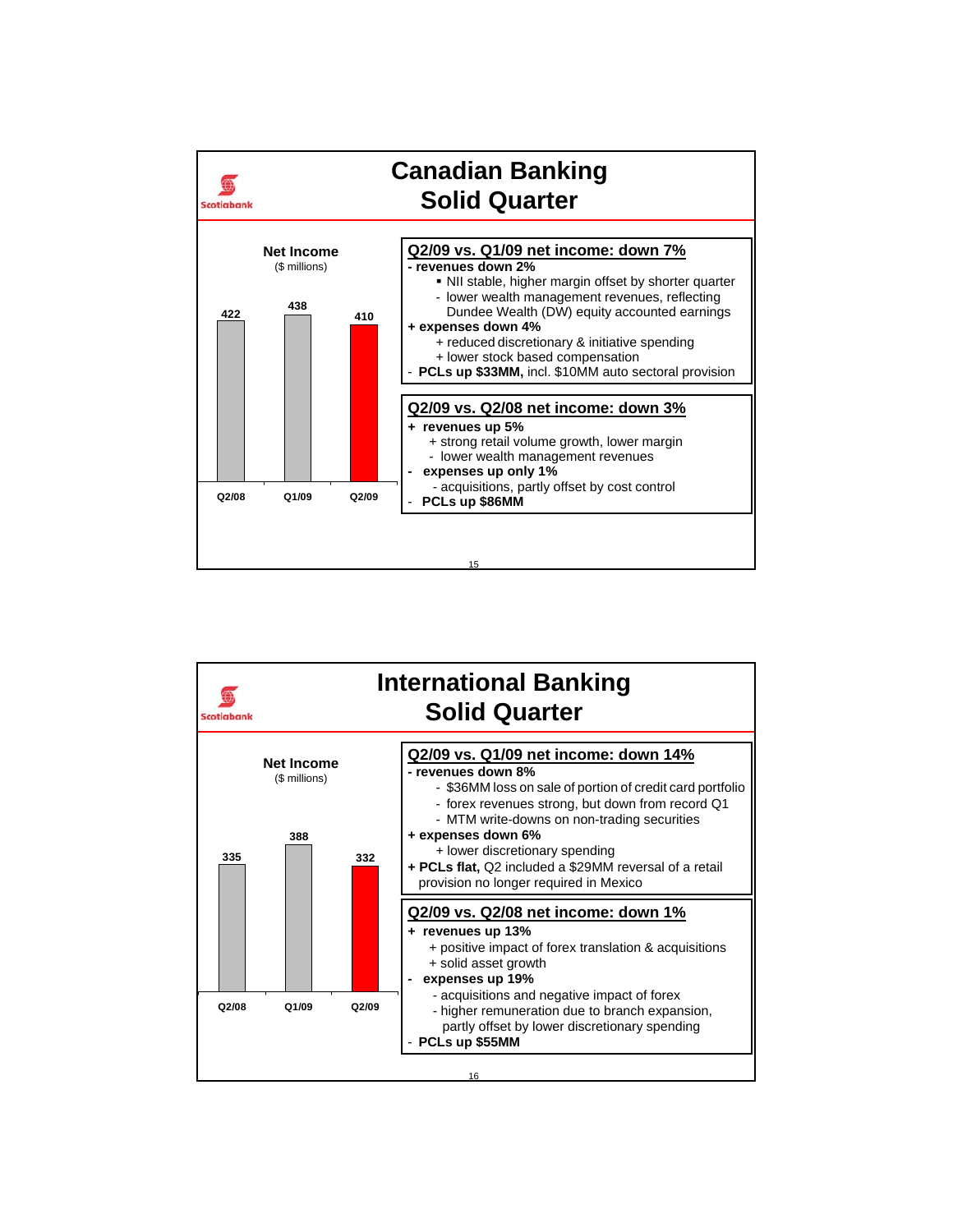

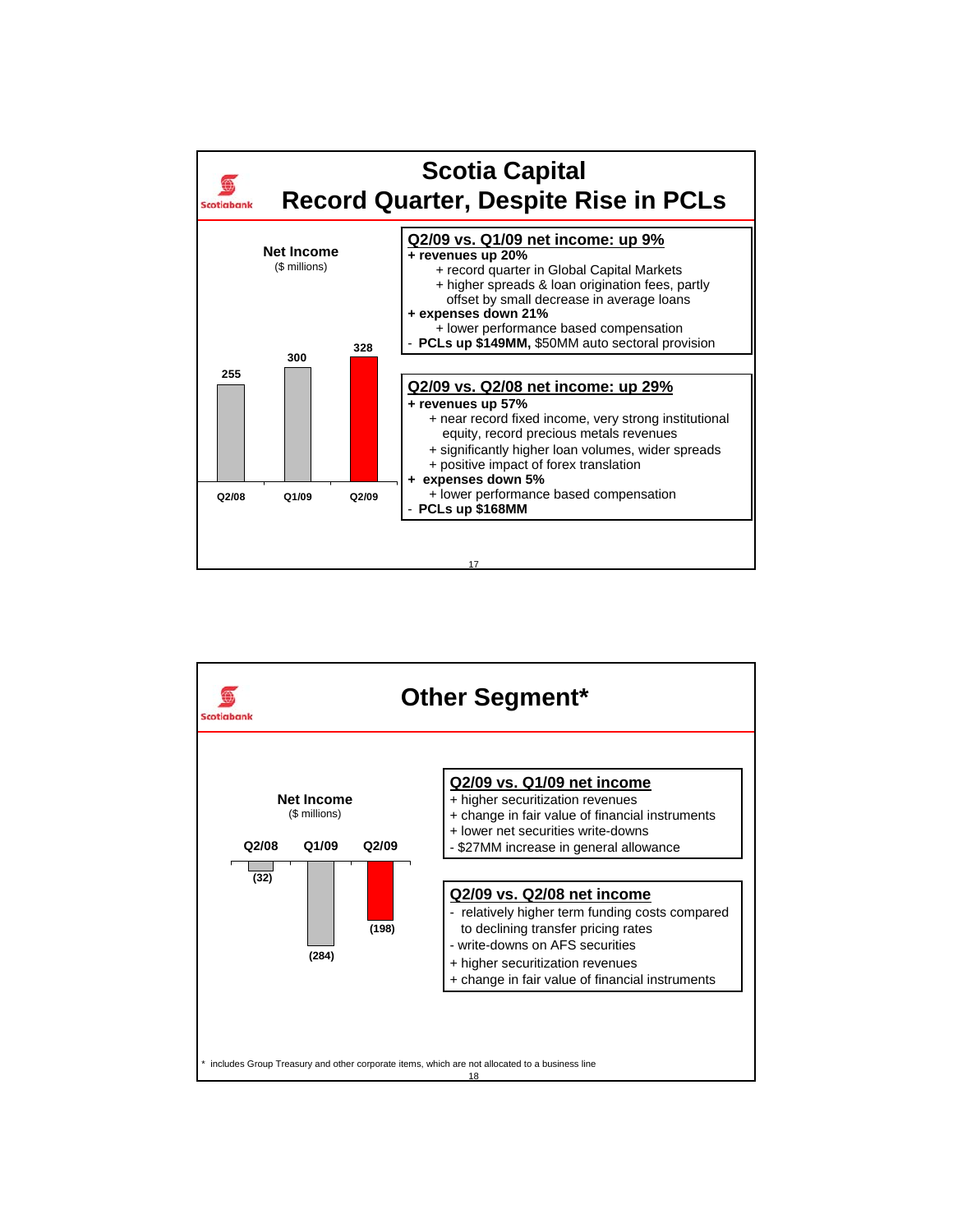

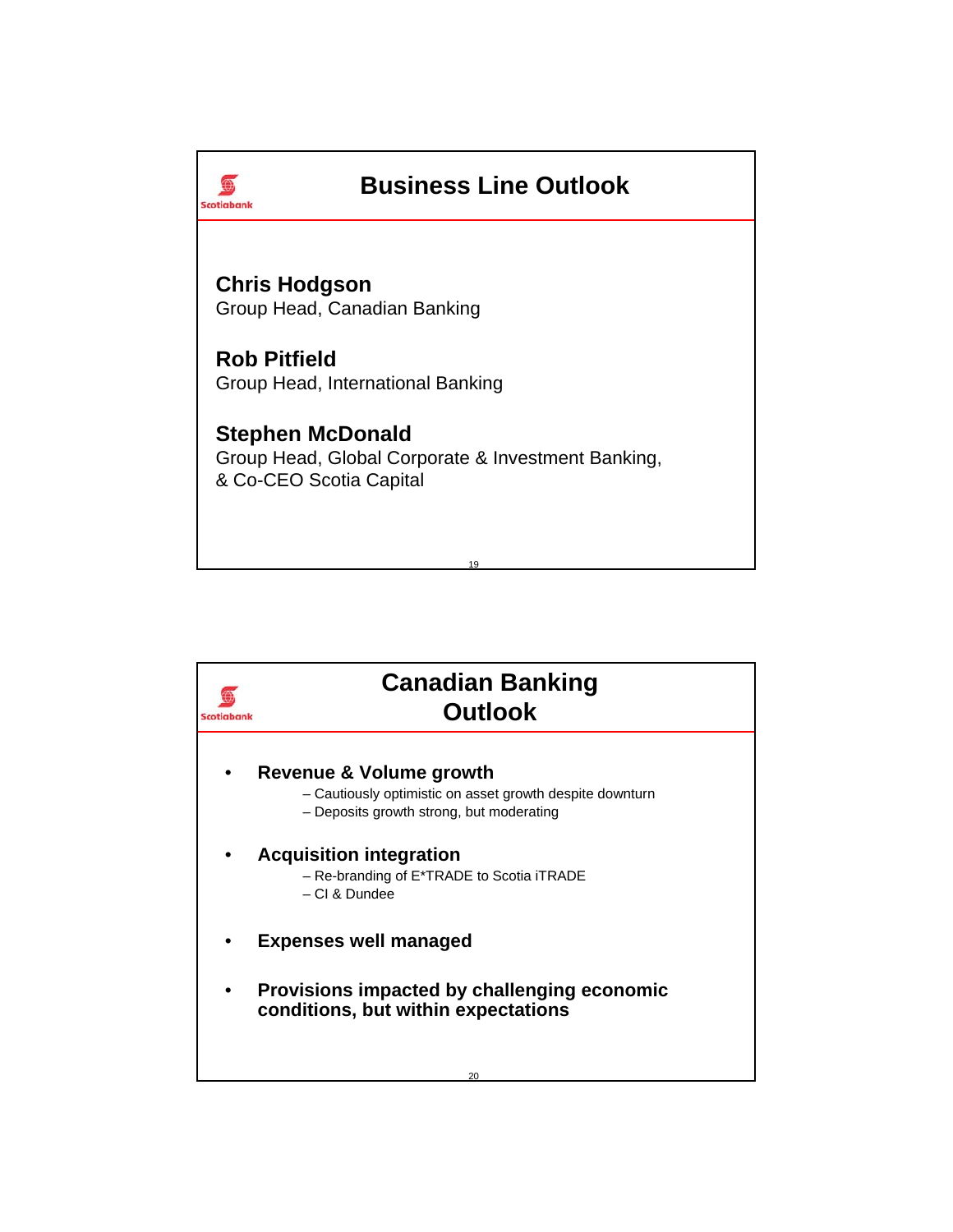

| <b>Canadian Banking</b><br><b>Outlook</b>                                                                                       |
|---------------------------------------------------------------------------------------------------------------------------------|
| Revenue & Volume growth<br>- Cautiously optimistic on asset growth despite downturn<br>- Deposits growth strong, but moderating |
| <b>Acquisition integration</b><br>- Re-branding of E*TRADE to Scotia iTRADE<br>- CI & Dundee                                    |
| <b>Expenses well managed</b>                                                                                                    |
| Provisions impacted by challenging economic<br>conditions, but within expectations                                              |
| 20                                                                                                                              |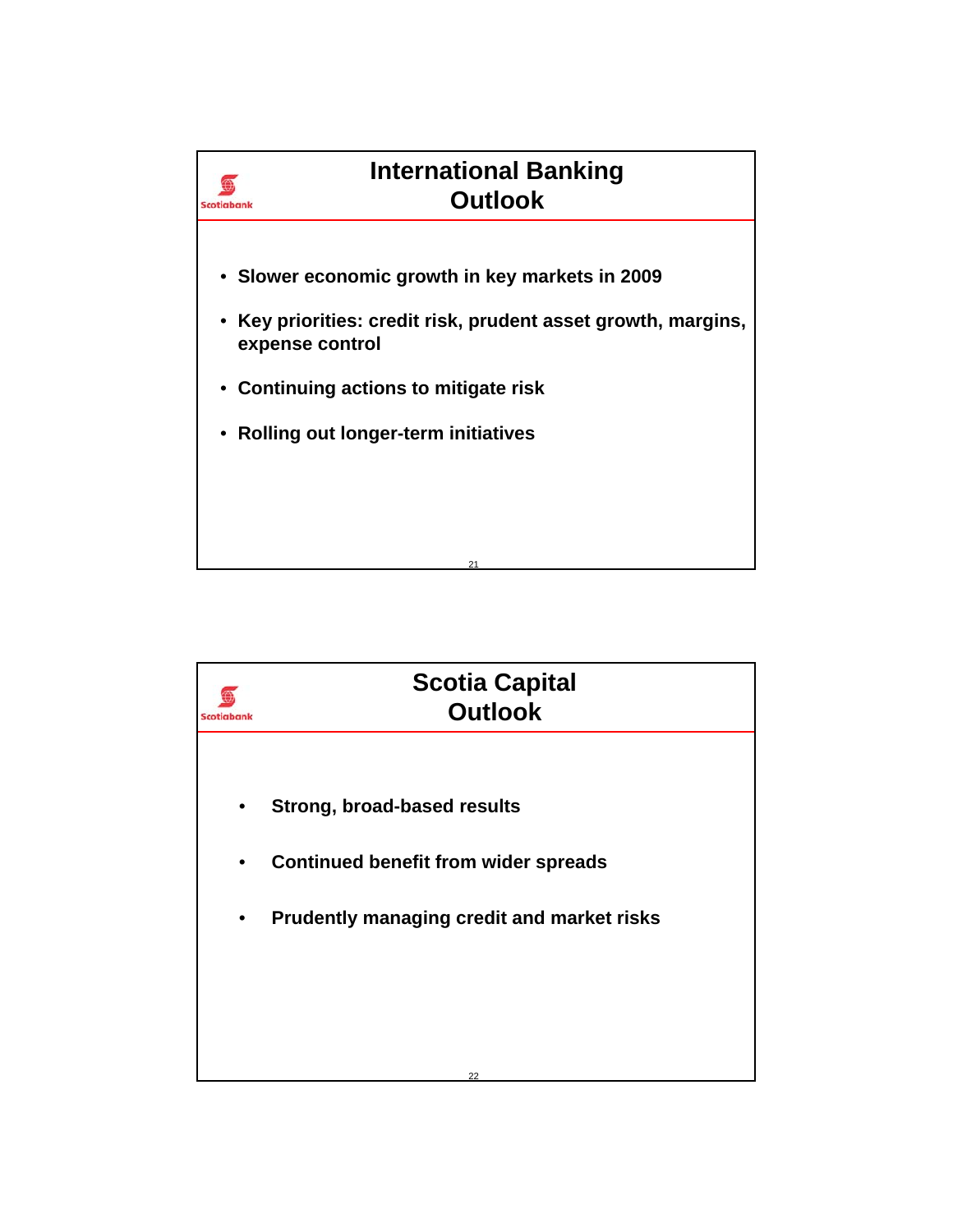

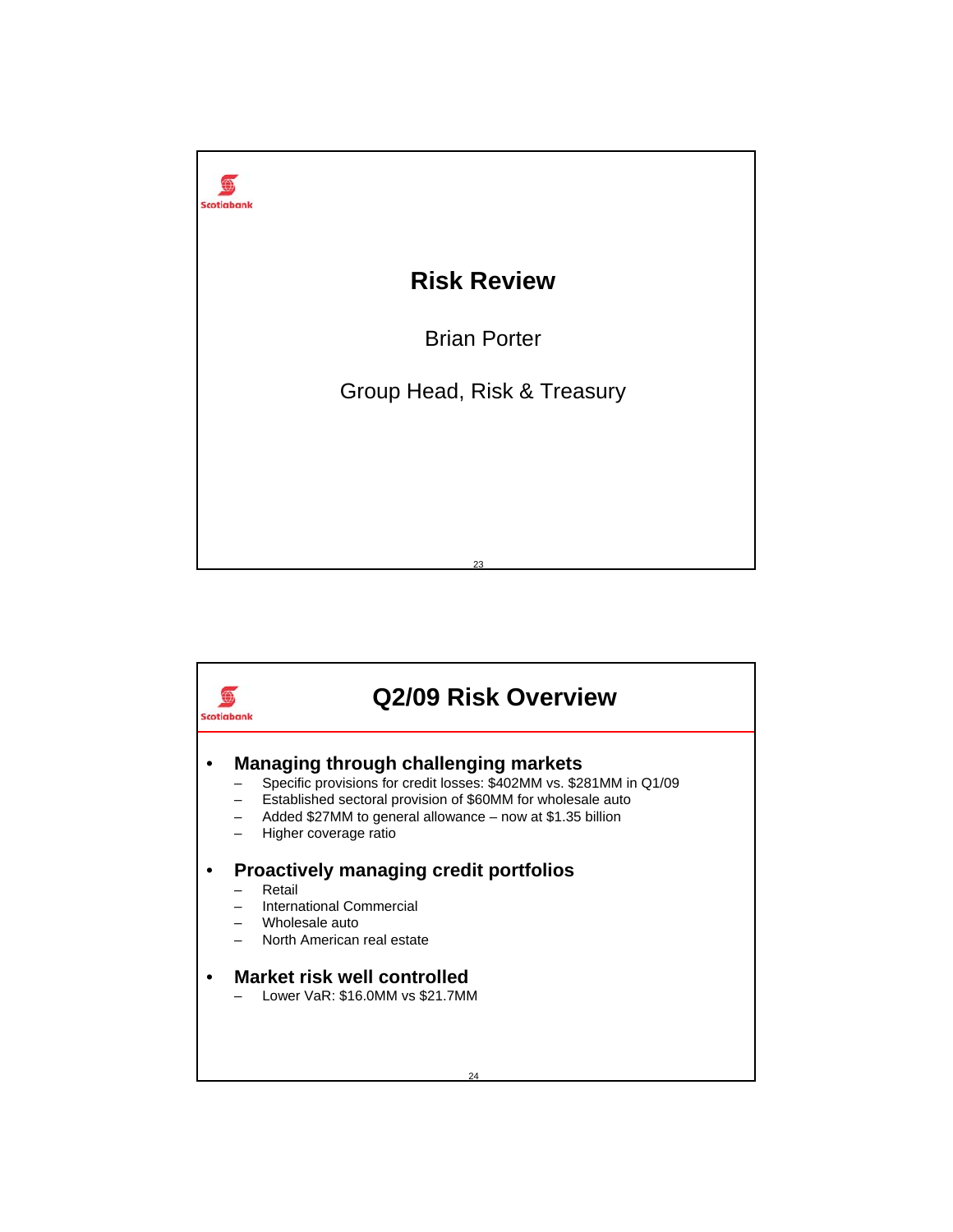

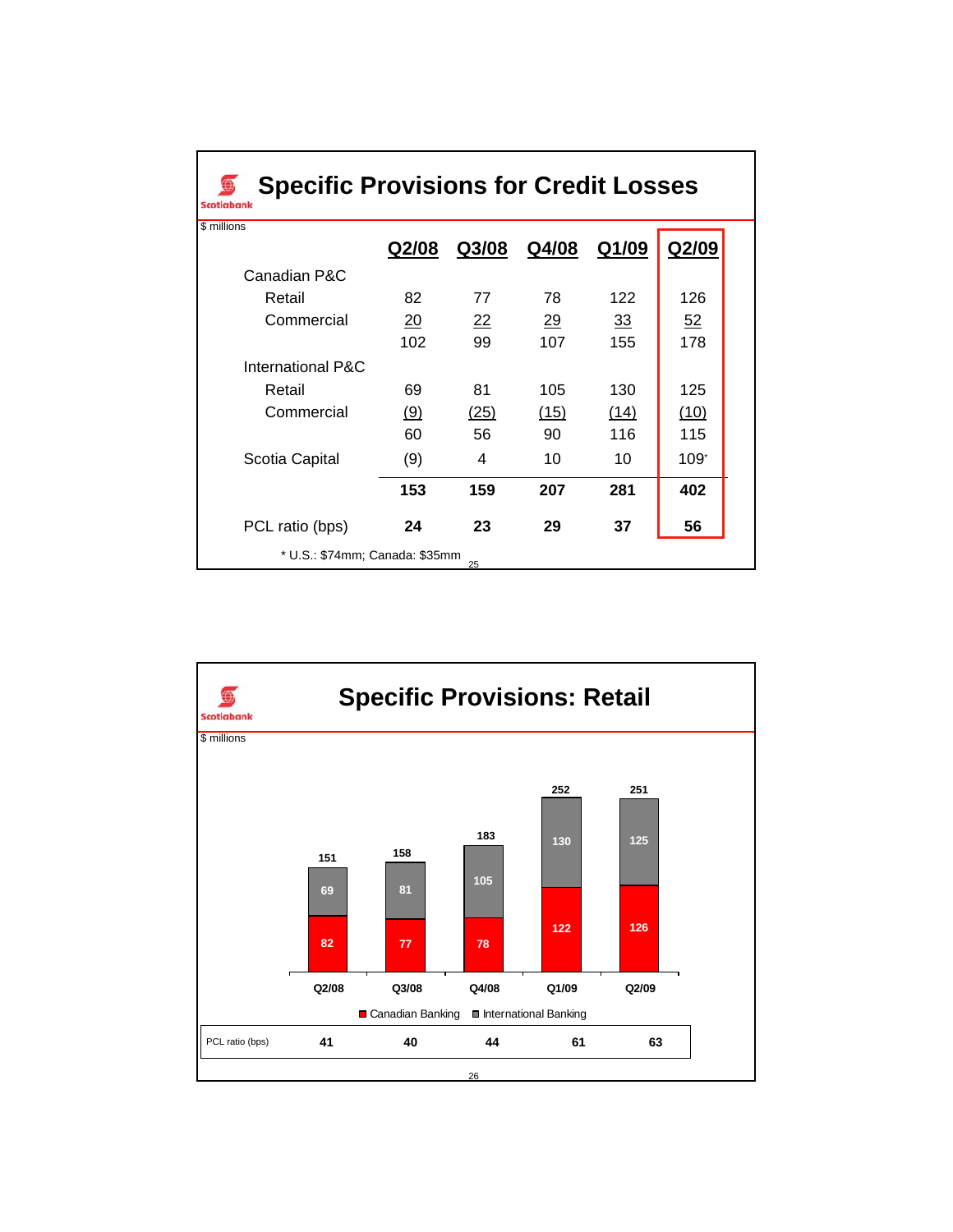| \$ millions       |       |       |                 |       |        |
|-------------------|-------|-------|-----------------|-------|--------|
|                   | Q2/08 | Q3/08 | Q4/08           | Q1/09 | Q2/09  |
| Canadian P&C      |       |       |                 |       |        |
| Retail            | 82    | 77    | 78              | 122   | 126    |
| Commercial        | 20    | 22    | $\overline{29}$ | 33    | 52     |
|                   | 102   | 99    | 107             | 155   | 178    |
| International P&C |       |       |                 |       |        |
| Retail            | 69    | 81    | 105             | 130   | 125    |
| Commercial        | (9)   | (25)  | (15)            | (14)  | (10)   |
|                   | 60    | 56    | 90              | 116   | 115    |
| Scotia Capital    | (9)   | 4     | 10              | 10    | $109+$ |
|                   | 153   | 159   | 207             | 281   | 402    |
| PCL ratio (bps)   | 24    | 23    | 29              | 37    | 56     |

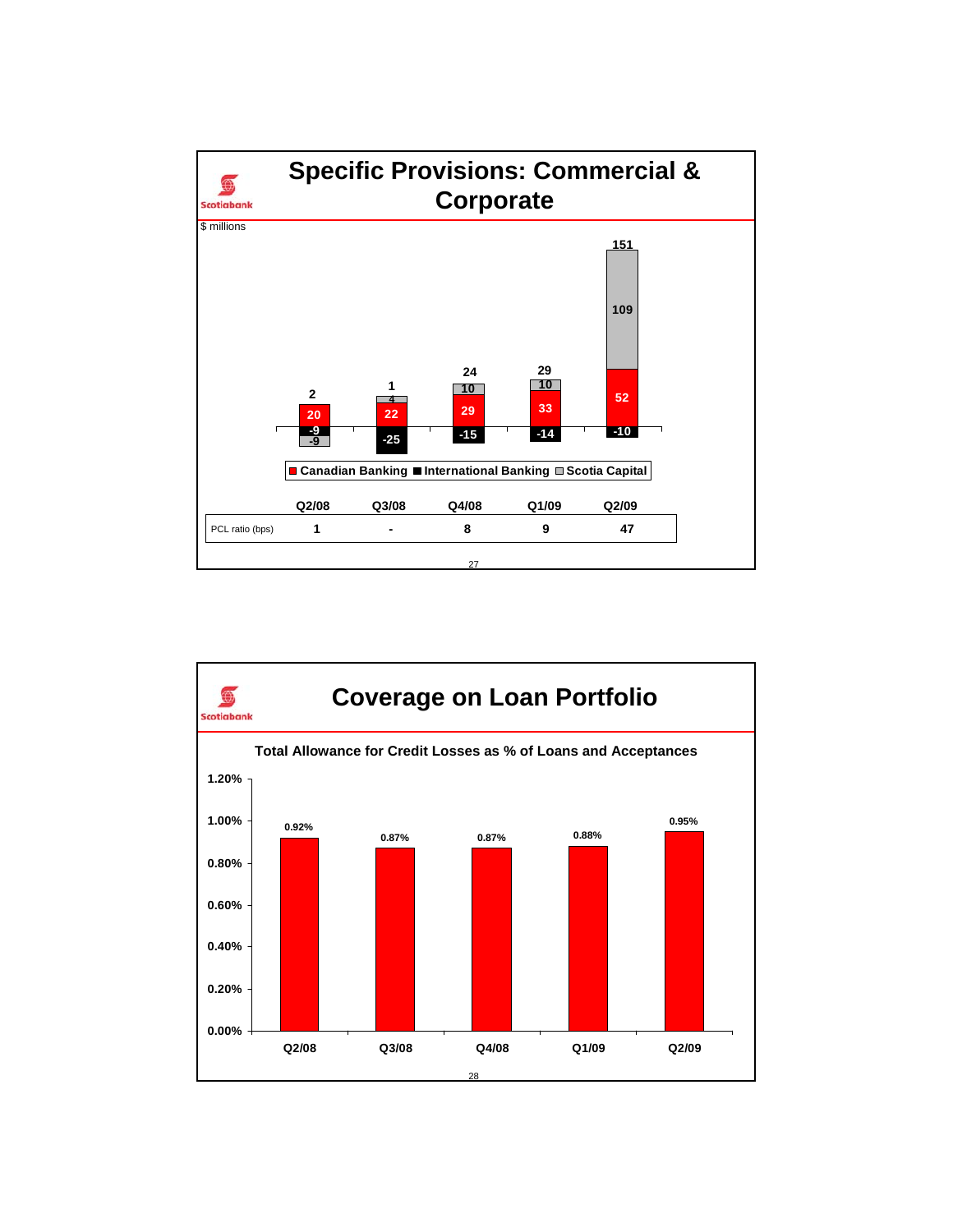

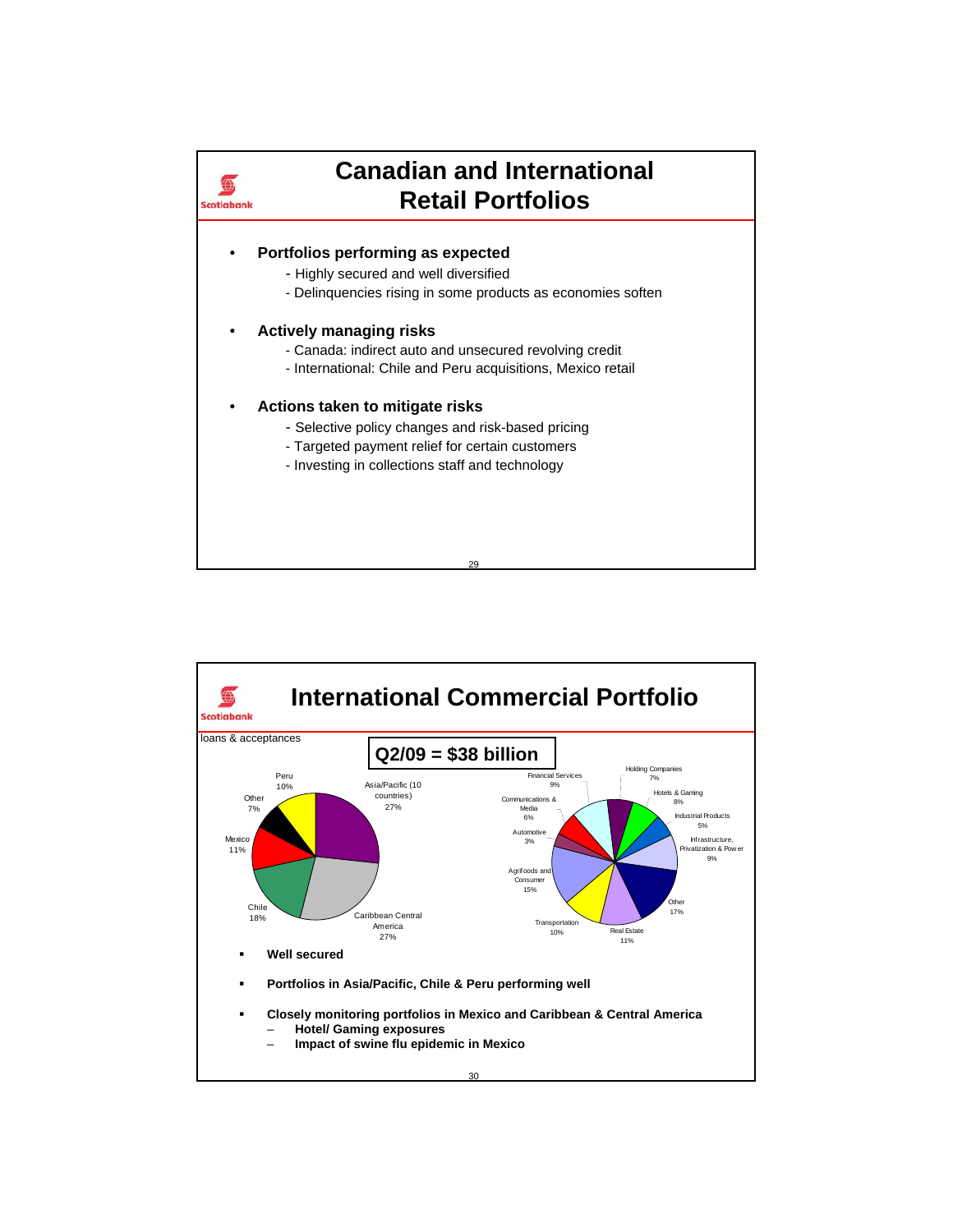

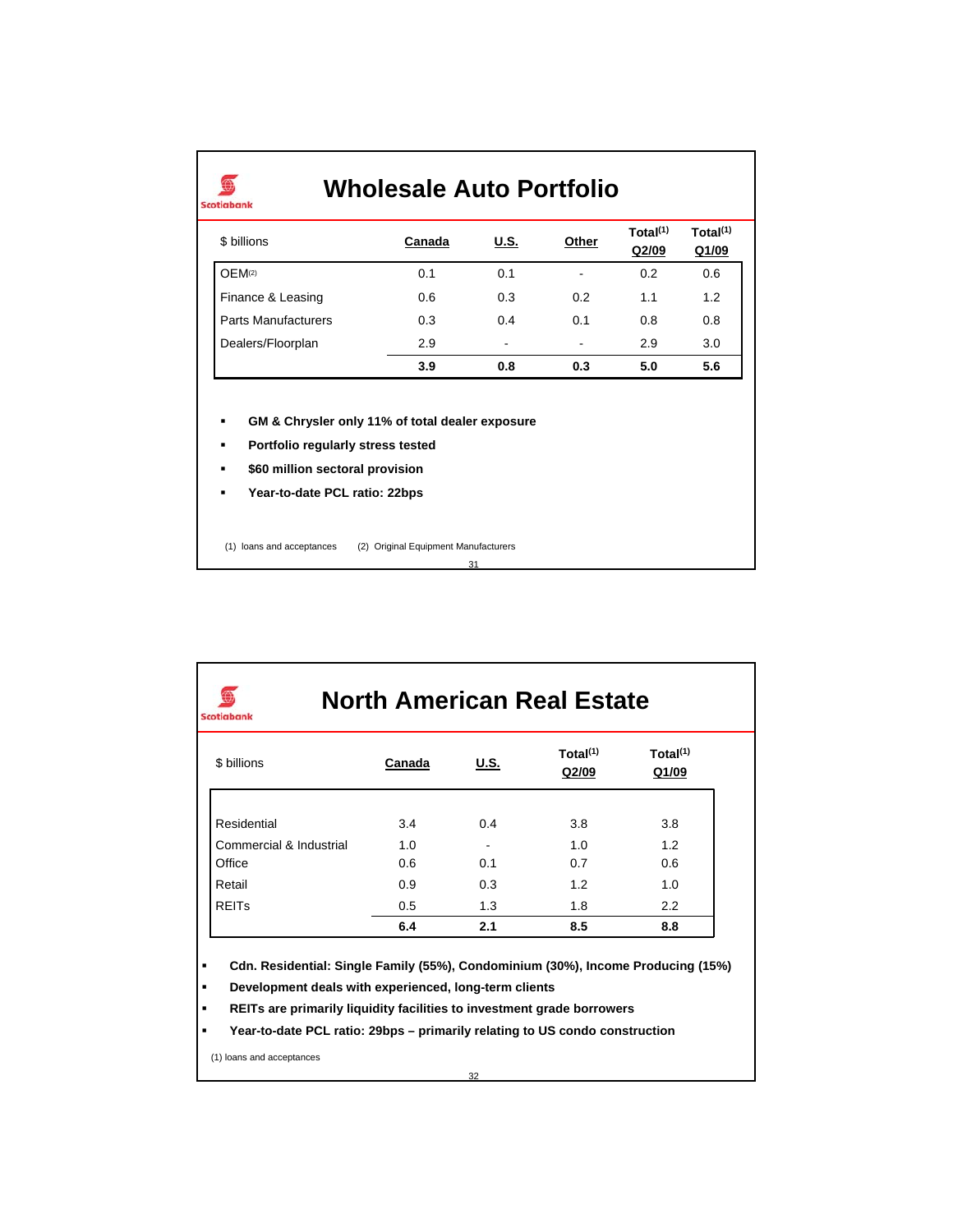### $\bigoplus$

Scotlabank

# **Wholesale Auto Portfolio**

| \$ billions                | Canada | <u>U.S.</u> | Other                    | Total $(1)$<br>Q2/09 | Total <sup>(1)</sup><br>Q1/09 |
|----------------------------|--------|-------------|--------------------------|----------------------|-------------------------------|
| OEM <sup>(2)</sup>         | 0.1    | 0.1         | $\overline{\phantom{a}}$ | 0.2                  | 0.6                           |
| Finance & Leasing          | 0.6    | 0.3         | 0.2                      | 1.1                  | 1.2                           |
| <b>Parts Manufacturers</b> | 0.3    | 0.4         | 0.1                      | 0.8                  | 0.8                           |
| Dealers/Floorplan          | 2.9    | $\,$        | $\overline{\phantom{a}}$ | 2.9                  | 3.0                           |
|                            | 3.9    | 0.8         | 0.3                      | 5.0                  | 5.6                           |

**GM & Chrysler only 11% of total dealer exposure**

- **Portfolio regularly stress tested**
- **\$60 million sectoral provision**
- **Year-to-date PCL ratio: 22bps**

(1) loans and acceptances (2) Original Equipment Manufacturers

31

| <b>Scotiabank</b>                 |               |             | <b>North American Real Estate</b> |                      |
|-----------------------------------|---------------|-------------|-----------------------------------|----------------------|
| \$ billions                       | <b>Canada</b> | <u>U.S.</u> | Total $(1)$<br>Q2/09              | Total $(1)$<br>Q1/09 |
| Residential                       | 3.4           | 0.4         | 3.8                               | 3.8                  |
| Commercial & Industrial<br>Office | 1.0<br>0.6    | 0.1         | 1.0<br>0.7                        | 1.2<br>0.6           |
| Retail                            | 0.9           | 0.3         | 1.2                               | 1.0                  |
| <b>REITS</b>                      | 0.5           | 1.3         | 1.8                               | $2.2\phantom{0}$     |
|                                   | 6.4           | 2.1         | 8.5                               | 8.8                  |

**Cdn. Residential: Single Family (55%), Condominium (30%), Income Producing (15%)**

- **Development deals with experienced, long-term clients**
- **REITs are primarily liquidity facilities to investment grade borrowers**
- **Year-to-date PCL ratio: 29bps primarily relating to US condo construction**

(1) loans and acceptances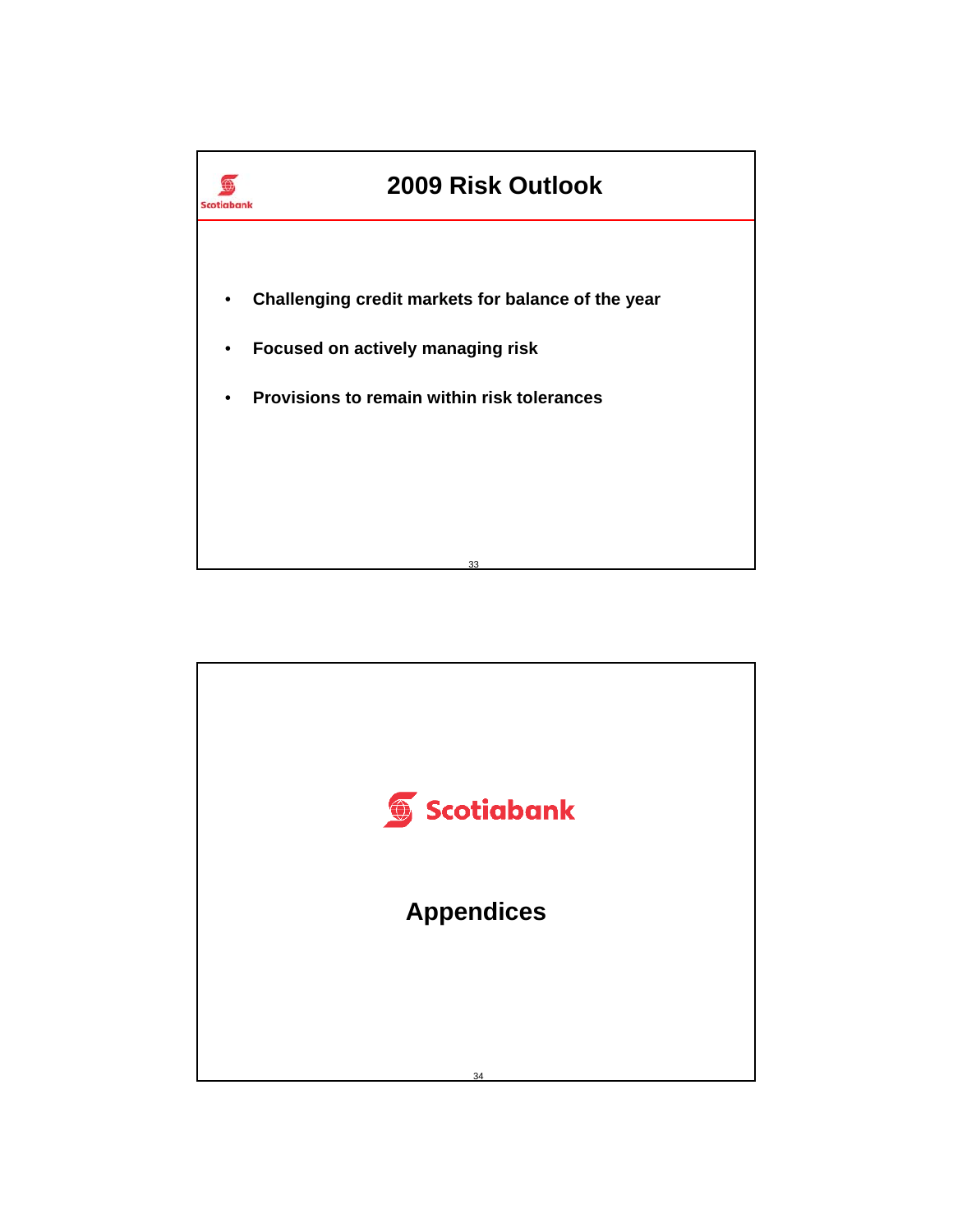

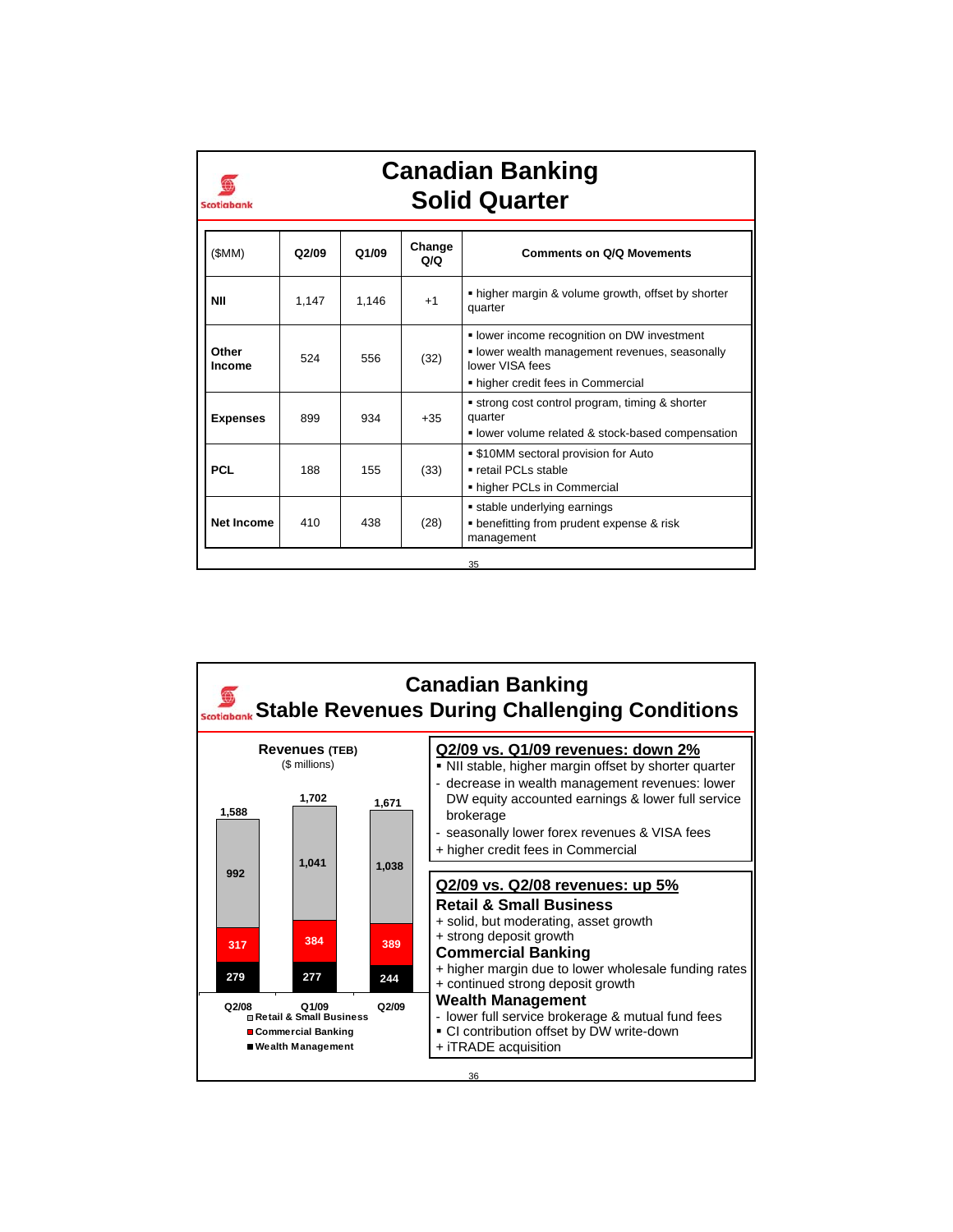| <b>Solid Quarter</b><br>Scotiabank |                                          |       |               |                                                                                                                                                               |  |  |  |
|------------------------------------|------------------------------------------|-------|---------------|---------------------------------------------------------------------------------------------------------------------------------------------------------------|--|--|--|
| (SMM)                              | Q2/09                                    | Q1/09 | Change<br>Q/Q | <b>Comments on Q/Q Movements</b>                                                                                                                              |  |  |  |
| <b>NII</b>                         | 1,147                                    | 1.146 | $+1$          | • higher margin & volume growth, offset by shorter<br>quarter                                                                                                 |  |  |  |
| Other<br>Income                    | 524                                      | 556   | (32)          | • lower income recognition on DW investment<br>. lower wealth management revenues, seasonally<br><b>lower VISA fees</b><br>• higher credit fees in Commercial |  |  |  |
| <b>Expenses</b>                    | 899<br>934<br>$+35$                      |       |               | strong cost control program, timing & shorter<br>quarter<br>. lower volume related & stock-based compensation                                                 |  |  |  |
| <b>PCL</b>                         | 188<br>155<br>(33)<br>410<br>438<br>(28) |       |               | • \$10MM sectoral provision for Auto<br>• retail PCLs stable<br>• higher PCLs in Commercial                                                                   |  |  |  |
| <b>Net Income</b>                  |                                          |       |               | stable underlying earnings<br>• benefitting from prudent expense & risk<br>management                                                                         |  |  |  |
|                                    |                                          |       |               | 35                                                                                                                                                            |  |  |  |

**Canadian Banking**

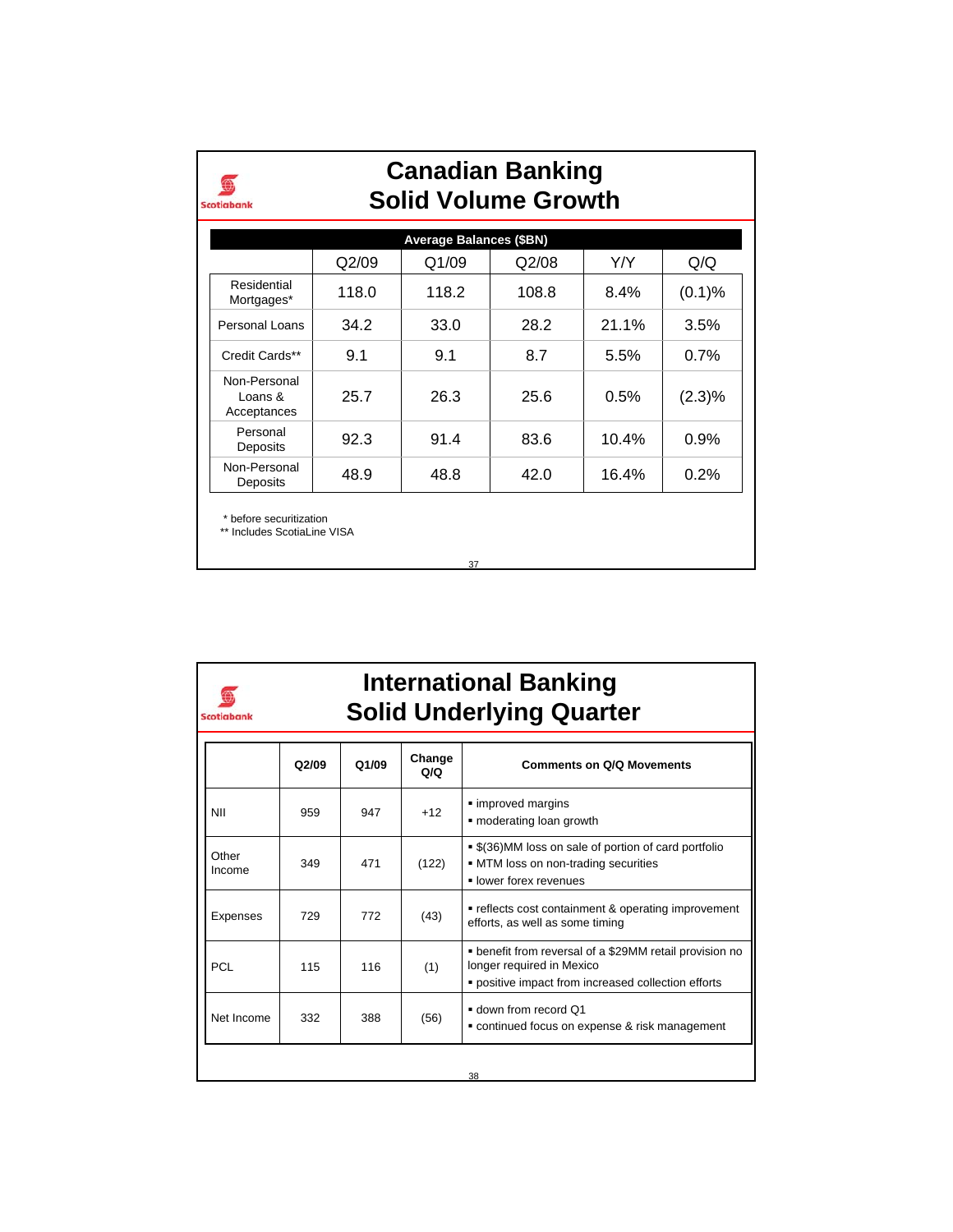| <b>Canadian Banking</b><br><b>Solid Volume Growth</b><br>Scotiabank |       |       |                                |        |  |  |  |
|---------------------------------------------------------------------|-------|-------|--------------------------------|--------|--|--|--|
|                                                                     |       |       |                                |        |  |  |  |
| Q2/09                                                               | Q1/09 | Q2/08 | Y/Y                            | Q/Q    |  |  |  |
| 118.0                                                               | 118.2 | 108.8 | 8.4%                           | (0.1)% |  |  |  |
| 34.2                                                                | 33.0  | 28.2  | 21.1%                          | 3.5%   |  |  |  |
| 9.1                                                                 | 9.1   | 8.7   | 5.5%                           | 0.7%   |  |  |  |
| 25.7                                                                | 26.3  | 25.6  | 0.5%                           | (2.3)% |  |  |  |
| 92.3                                                                | 91.4  | 83.6  | 10.4%                          | 0.9%   |  |  |  |
| 48.9                                                                | 48.8  | 42.0  | 16.4%                          | 0.2%   |  |  |  |
| * before securitization<br>Includes ScotiaLine VISA                 |       |       |                                |        |  |  |  |
|                                                                     |       |       | <b>Average Balances (\$BN)</b> |        |  |  |  |

## **International Banking Solid Underlying Quarter**

 $\overline{\mathbb{S}}$ Scotiabank

| NII<br>Other<br>Income | 959<br>349 | 947 | $+12$ | • improved margins<br>• moderating loan growth                                                                                              |
|------------------------|------------|-----|-------|---------------------------------------------------------------------------------------------------------------------------------------------|
|                        |            |     |       |                                                                                                                                             |
|                        |            | 471 | (122) | • \$(36) MM loss on sale of portion of card portfolio<br>• MTM loss on non-trading securities<br>· lower forex revenues                     |
| Expenses               | 729        | 772 | (43)  | • reflects cost containment & operating improvement<br>efforts, as well as some timing                                                      |
| PCL                    | 115        | 116 | (1)   | • benefit from reversal of a \$29MM retail provision no<br>longer required in Mexico<br>· positive impact from increased collection efforts |
| Net Income             | 332        | 388 | (56)  | . down from record Q1<br>• continued focus on expense & risk management                                                                     |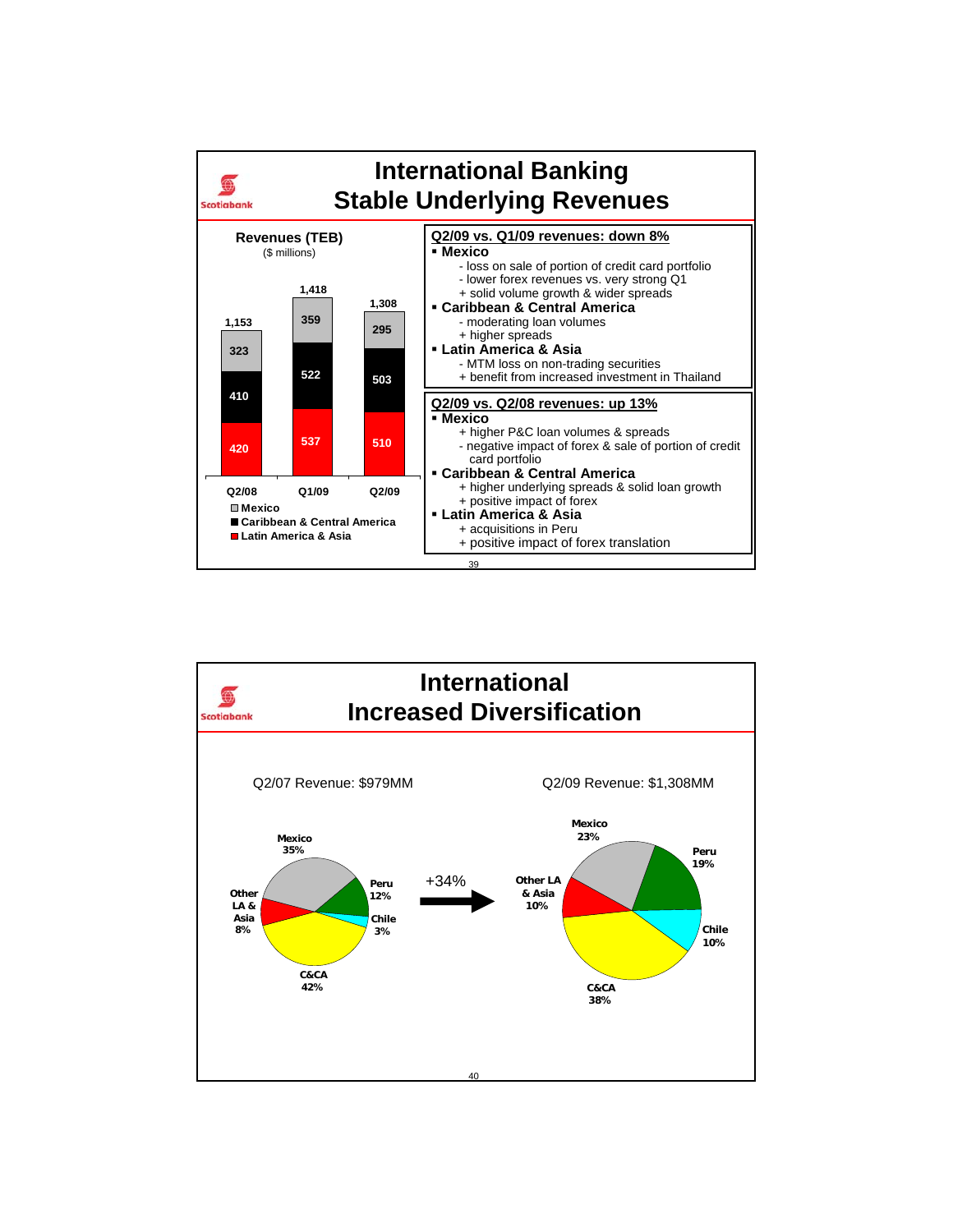

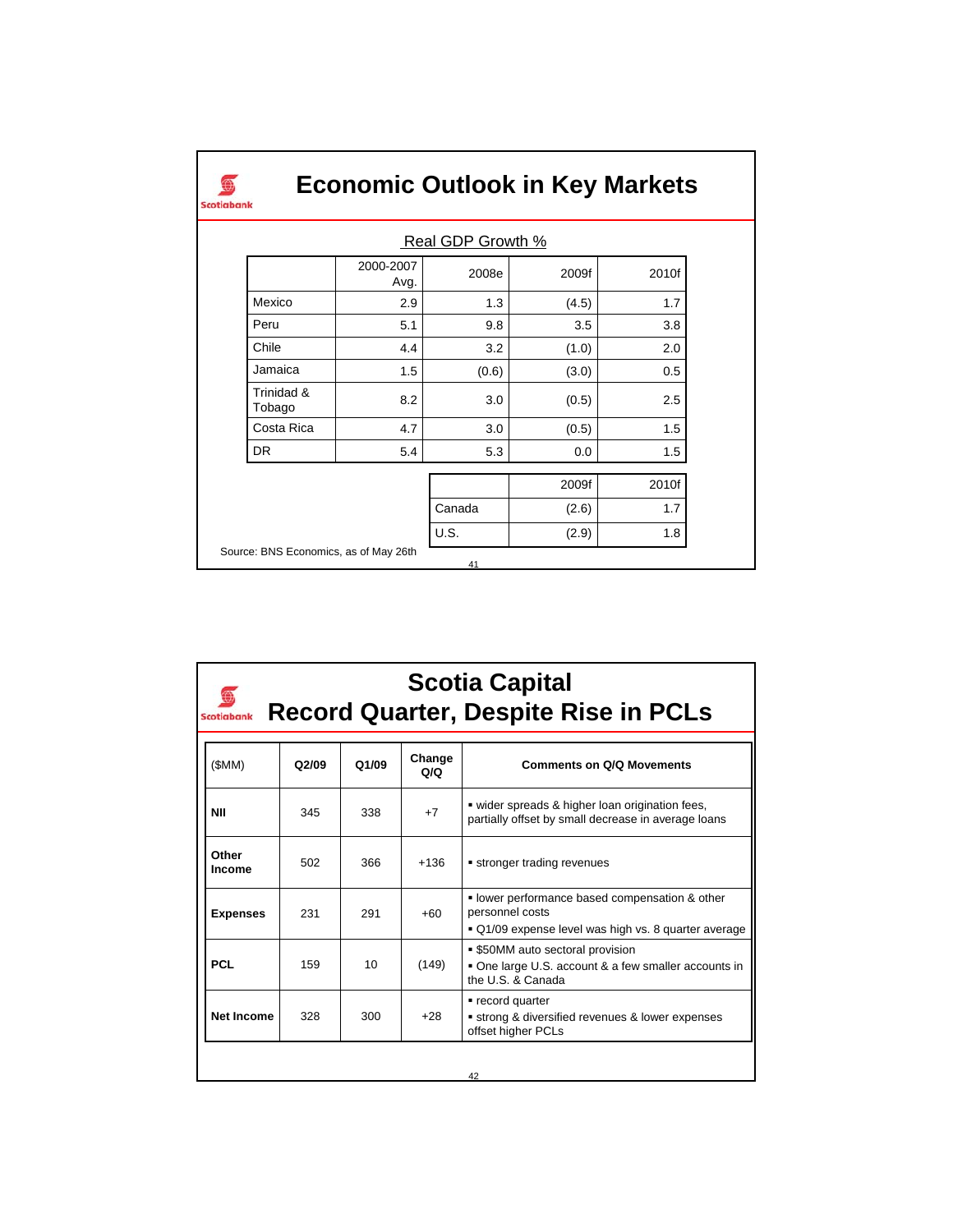| Real GDP Growth %    |                   |        |       |       |  |  |
|----------------------|-------------------|--------|-------|-------|--|--|
|                      | 2000-2007<br>Avg. | 2008e  | 2009f | 2010f |  |  |
| Mexico               | 2.9               | 1.3    | (4.5) | 1.7   |  |  |
| Peru                 | 5.1               | 9.8    | 3.5   | 3.8   |  |  |
| Chile                | 4.4               | 3.2    | (1.0) | 2.0   |  |  |
| Jamaica              | 1.5               | (0.6)  | (3.0) | 0.5   |  |  |
| Trinidad &<br>Tobago | 8.2               | 3.0    | (0.5) | 2.5   |  |  |
| Costa Rica           | 4.7               | 3.0    | (0.5) | 1.5   |  |  |
| <b>DR</b>            | 5.4               | 5.3    | 0.0   | 1.5   |  |  |
|                      |                   |        | 2009f | 2010f |  |  |
|                      |                   | Canada | (2.6) | 1.7   |  |  |
|                      |                   | U.S.   | (2.9) | 1.8   |  |  |

| Scotlabank        | <b>Scotia Capital</b><br><b>Record Quarter, Despite Rise in PCLs</b> |       |               |                                                                                                                           |  |  |  |  |  |
|-------------------|----------------------------------------------------------------------|-------|---------------|---------------------------------------------------------------------------------------------------------------------------|--|--|--|--|--|
| (SMM)             | Q2/09                                                                | Q1/09 | Change<br>Q/Q | <b>Comments on Q/Q Movements</b>                                                                                          |  |  |  |  |  |
| ΝIΙ               | 345                                                                  | 338   | $+7$          | " wider spreads & higher loan origination fees,<br>partially offset by small decrease in average loans                    |  |  |  |  |  |
| Other<br>Income   | 502                                                                  | 366   | $+1.36$       | stronger trading revenues                                                                                                 |  |  |  |  |  |
| <b>Expenses</b>   | 231                                                                  | 291   | $+60$         | . lower performance based compensation & other<br>personnel costs<br>• Q1/09 expense level was high vs. 8 quarter average |  |  |  |  |  |
| <b>PCL</b>        | 159                                                                  | 10    | (149)         | • \$50MM auto sectoral provision<br>• One large U.S. account & a few smaller accounts in<br>the U.S. & Canada             |  |  |  |  |  |
| <b>Net Income</b> | 328                                                                  | 300   | $+28$         | ■ record quarter<br><b>strong &amp; diversified revenues &amp; lower expenses</b><br>offset higher PCLs                   |  |  |  |  |  |
|                   |                                                                      |       |               | 42                                                                                                                        |  |  |  |  |  |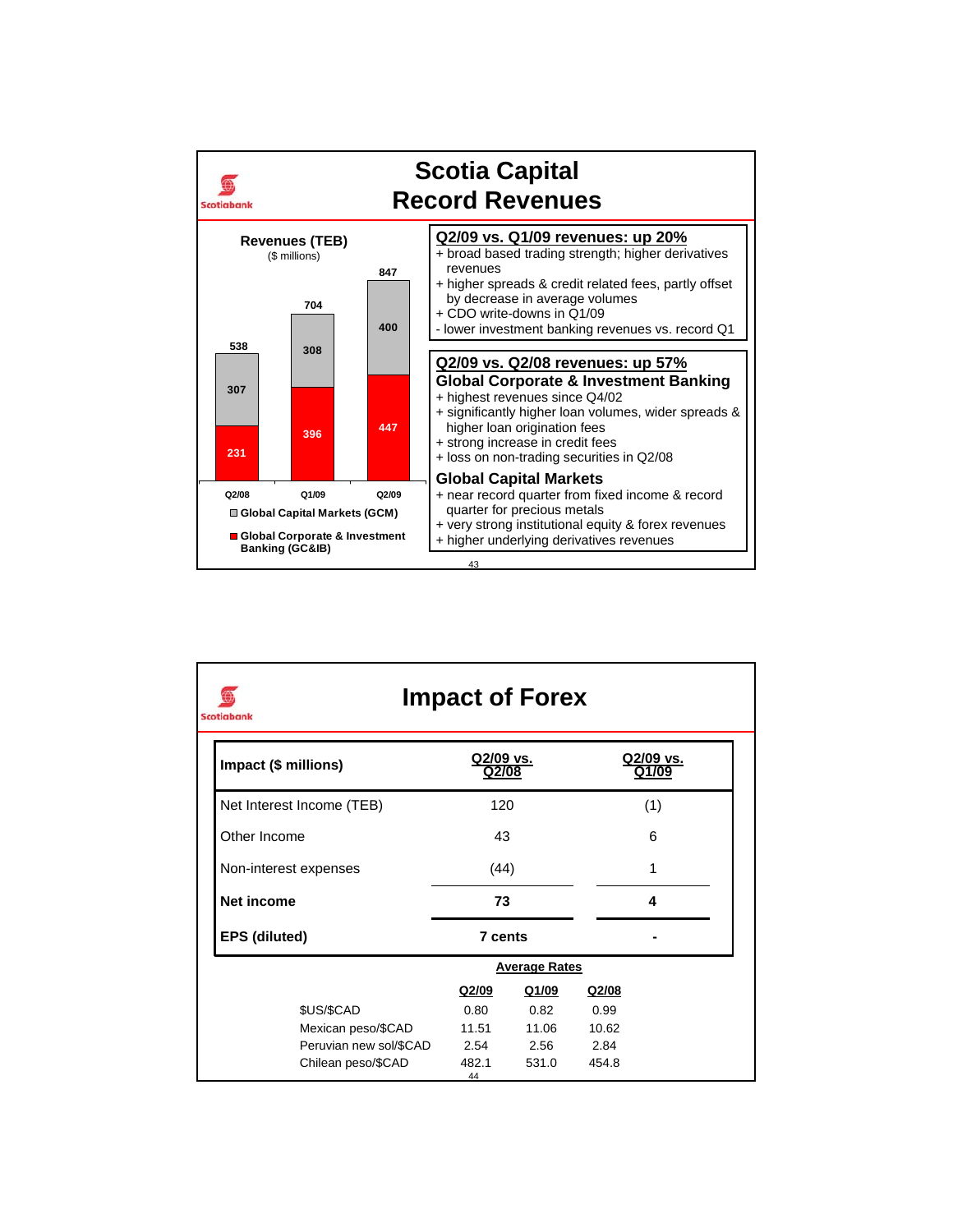

| <b>Impact of Forex</b><br><b>Scotiabank</b> |                    |                      |       |                   |  |  |  |  |  |
|---------------------------------------------|--------------------|----------------------|-------|-------------------|--|--|--|--|--|
| Impact (\$ millions)                        | Q2/09 vs.<br>52/08 |                      |       | Q2/09 vs.<br>1/09 |  |  |  |  |  |
| Net Interest Income (TEB)                   | 120                |                      |       | (1)               |  |  |  |  |  |
| Other Income                                | 43                 |                      |       | 6                 |  |  |  |  |  |
| Non-interest expenses                       | (44)               |                      |       | 1                 |  |  |  |  |  |
| Net income                                  | 73                 |                      |       | 4                 |  |  |  |  |  |
| <b>EPS (diluted)</b>                        | 7 cents            |                      |       |                   |  |  |  |  |  |
|                                             |                    | <b>Average Rates</b> |       |                   |  |  |  |  |  |
|                                             | Q2/09              | Q1/09                | Q2/08 |                   |  |  |  |  |  |
| \$US/\$CAD                                  | 0.80               | 0.82                 | 0.99  |                   |  |  |  |  |  |
| Mexican peso/\$CAD                          | 11.51              | 11.06                | 10.62 |                   |  |  |  |  |  |
| Peruvian new sol/\$CAD                      | 2.54               | 2.56                 | 2.84  |                   |  |  |  |  |  |
| Chilean peso/\$CAD                          | 482.1<br>44        | 531.0                | 454.8 |                   |  |  |  |  |  |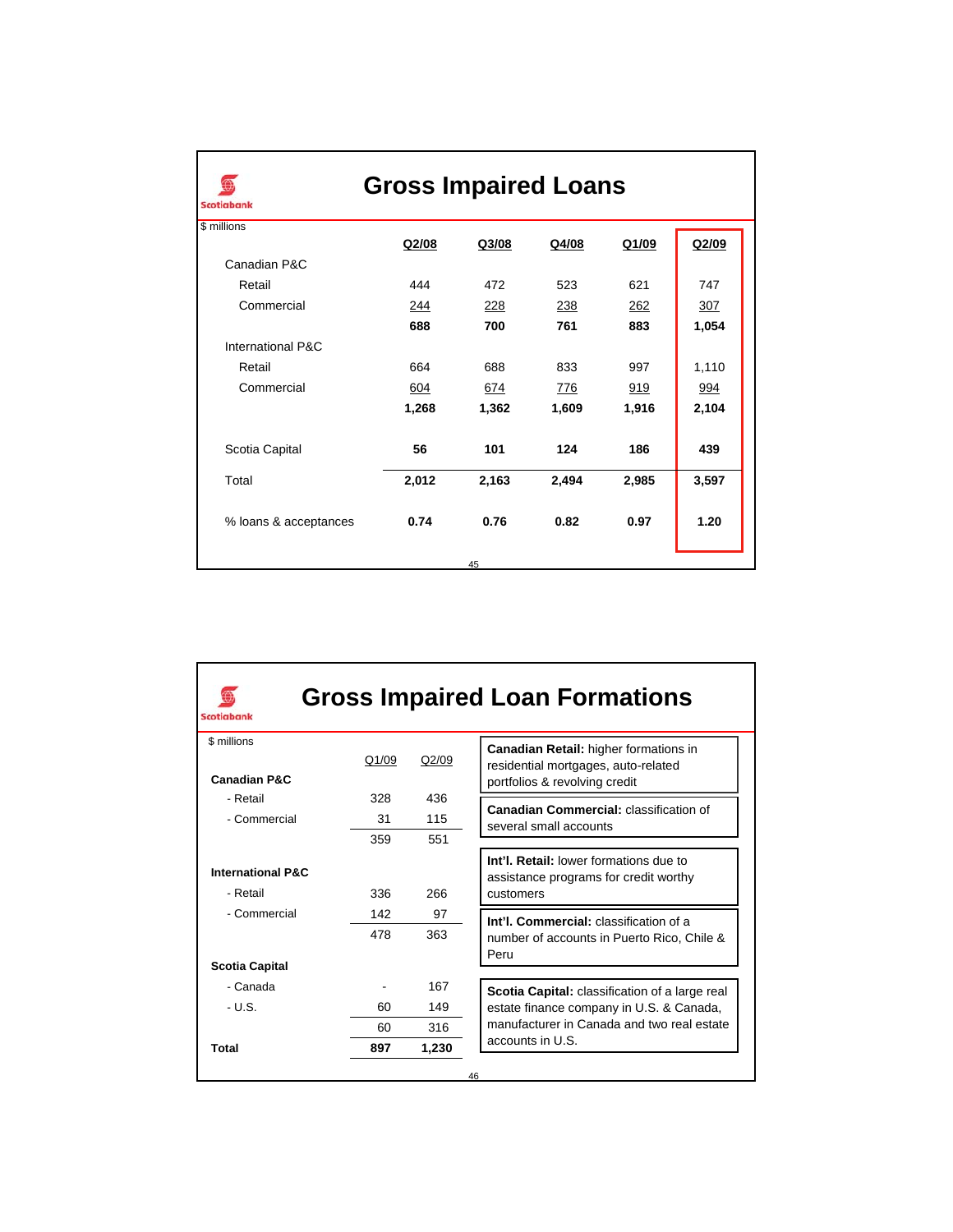| <b>Gross Impaired Loans</b><br><b>Scotiabank</b> |       |       |       |       |       |  |  |  |  |
|--------------------------------------------------|-------|-------|-------|-------|-------|--|--|--|--|
| \$ millions                                      |       |       |       |       |       |  |  |  |  |
|                                                  | Q2/08 | Q3/08 | Q4/08 | Q1/09 | Q2/09 |  |  |  |  |
| Canadian P&C                                     |       |       |       |       |       |  |  |  |  |
| Retail                                           | 444   | 472   | 523   | 621   | 747   |  |  |  |  |
| Commercial                                       | 244   | 228   | 238   | 262   | 307   |  |  |  |  |
|                                                  | 688   | 700   | 761   | 883   | 1,054 |  |  |  |  |
| International P&C                                |       |       |       |       |       |  |  |  |  |
| Retail                                           | 664   | 688   | 833   | 997   | 1,110 |  |  |  |  |
| Commercial                                       | 604   | 674   | 776   | 919   | 994   |  |  |  |  |
|                                                  | 1,268 | 1,362 | 1,609 | 1,916 | 2,104 |  |  |  |  |
| Scotia Capital                                   | 56    | 101   | 124   | 186   | 439   |  |  |  |  |
| Total                                            | 2,012 | 2,163 | 2,494 | 2,985 | 3,597 |  |  |  |  |
| % loans & acceptances                            | 0.74  | 0.76  | 0.82  | 0.97  | 1.20  |  |  |  |  |
|                                                  |       | 45    |       |       |       |  |  |  |  |

| Scotiabank                               |       |       | <b>Gross Impaired Loan Formations</b>                                                        |
|------------------------------------------|-------|-------|----------------------------------------------------------------------------------------------|
| \$ millions                              | Q1/09 | Q2/09 | <b>Canadian Retail: higher formations in</b><br>residential mortgages, auto-related          |
| <b>Canadian P&amp;C</b>                  |       |       | portfolios & revolving credit                                                                |
| - Retail                                 | 328   | 436   | <b>Canadian Commercial: classification of</b>                                                |
| - Commercial                             | 31    | 115   | several small accounts                                                                       |
|                                          | 359   | 551   |                                                                                              |
| <b>International P&amp;C</b><br>- Retail | 336   | 266   | Int'l. Retail: lower formations due to<br>assistance programs for credit worthy<br>customers |
| - Commercial                             | 142   | 97    |                                                                                              |
|                                          | 478   | 363   | Int'l. Commercial: classification of a<br>number of accounts in Puerto Rico, Chile &<br>Peru |
| <b>Scotia Capital</b>                    |       |       |                                                                                              |
| - Canada                                 |       | 167   | Scotia Capital: classification of a large real                                               |
| $- U.S.$                                 | 60    | 149   | estate finance company in U.S. & Canada,                                                     |
|                                          | 60    | 316   | manufacturer in Canada and two real estate                                                   |
| Total                                    | 897   | 1,230 | accounts in U.S.                                                                             |
|                                          |       |       | 46                                                                                           |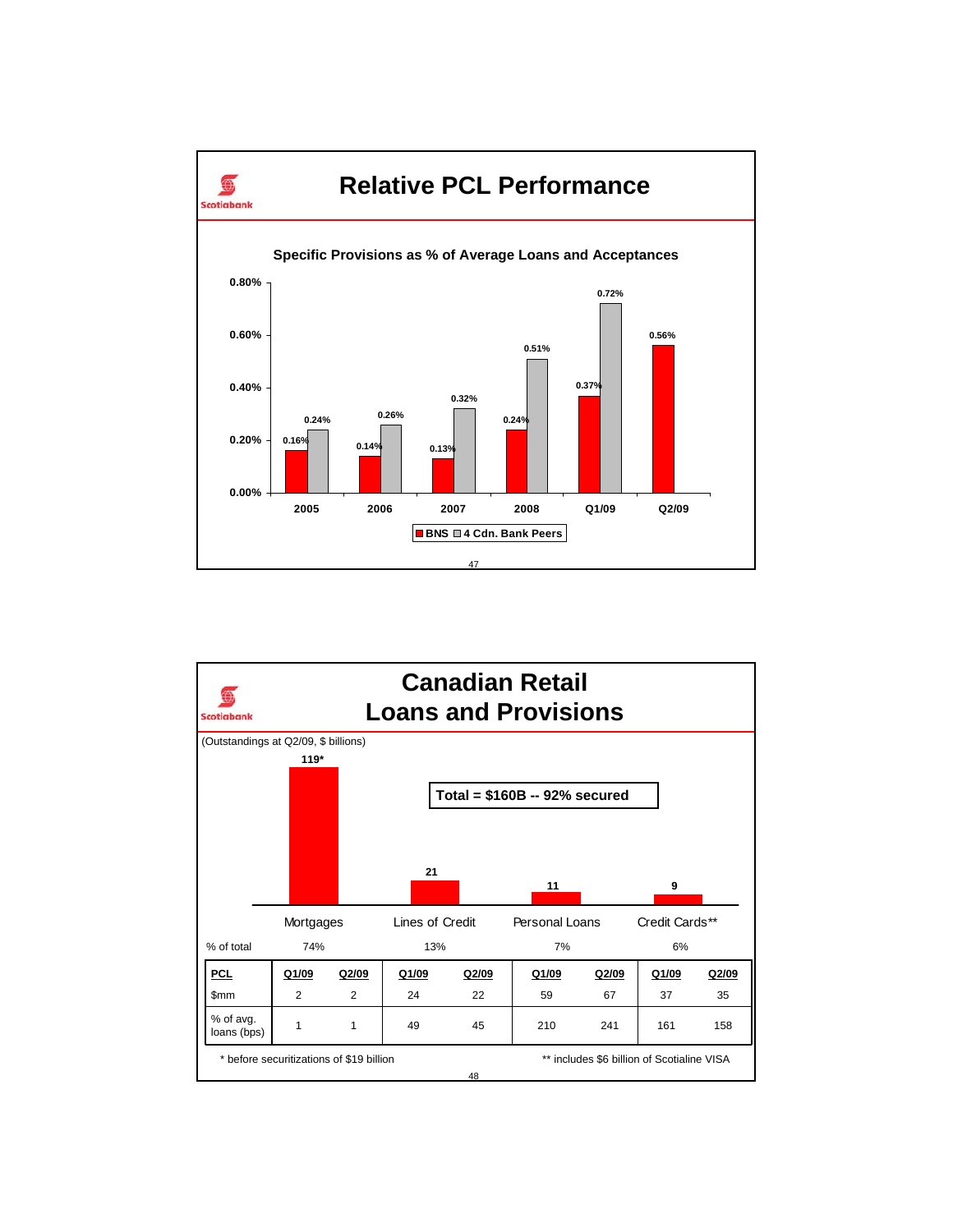

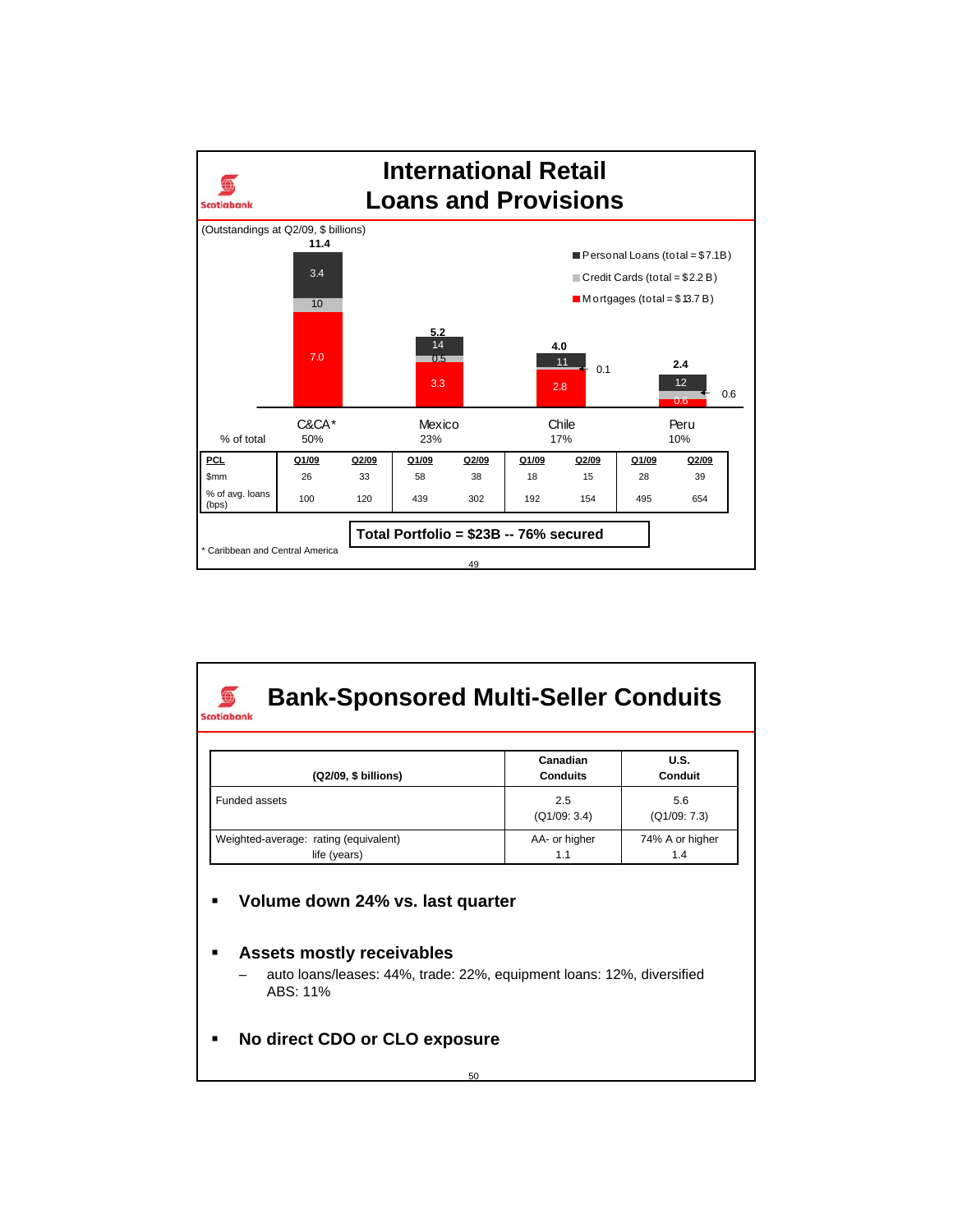

# **Bank-Sponsored Multi-Seller Conduits**

| (Q2/09, \$ billions)                                  | Canadian<br><b>Conduits</b> | U.S.<br>Conduit        |
|-------------------------------------------------------|-----------------------------|------------------------|
| Funded assets                                         | 2.5<br>(Q1/09: 3.4)         | 5.6<br>(Q1/09: 7.3)    |
| Weighted-average: rating (equivalent)<br>life (years) | AA- or higher<br>1.1        | 74% A or higher<br>1.4 |

### **Volume down 24% vs. last quarter**

#### **Assets mostly receivables**

 $\bigoplus$ Scotiabank

- auto loans/leases: 44%, trade: 22%, equipment loans: 12%, diversified ABS: 11%
- **No direct CDO or CLO exposure**